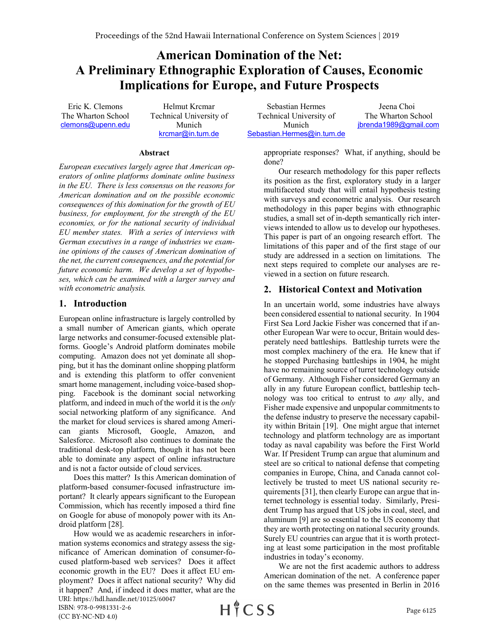# **American Domination of the Net: A Preliminary Ethnographic Exploration of Causes, Economic Implications for Europe, and Future Prospects**

Eric K. Clemons The Wharton School clemons@upenn.edu

Helmut Krcmar Technical University of Munich krcmar@in.tum.de

Sebastian Hermes Technical University of Munich Sebastian.Hermes@in.tum.de

Jeena Choi The Wharton School jbrenda1989@gmail.com

#### **Abstract**

*European executives largely agree that American operators of online platforms dominate online business in the EU. There is less consensus on the reasons for American domination and on the possible economic consequences of this domination for the growth of EU business, for employment, for the strength of the EU economies, or for the national security of individual EU member states. With a series of interviews with German executives in a range of industries we examine opinions of the causes of American domination of the net, the current consequences, and the potential for future economic harm. We develop a set of hypotheses, which can be examined with a larger survey and with econometric analysis.*

#### **1. Introduction**

European online infrastructure is largely controlled by a small number of American giants, which operate large networks and consumer-focused extensible platforms. Google's Android platform dominates mobile computing. Amazon does not yet dominate all shopping, but it has the dominant online shopping platform and is extending this platform to offer convenient smart home management, including voice-based shopping. Facebook is the dominant social networking platform, and indeed in much of the world it is the *only*  social networking platform of any significance. And the market for cloud services is shared among American giants Microsoft, Google, Amazon, and Salesforce. Microsoft also continues to dominate the traditional desk-top platform, though it has not been able to dominate any aspect of online infrastructure and is not a factor outside of cloud services.

Does this matter? Is this American domination of platform-based consumer-focused infrastructure important? It clearly appears significant to the European Commission, which has recently imposed a third fine on Google for abuse of monopoly power with its Android platform [28].

How would we as academic researchers in information systems economics and strategy assess the significance of American domination of consumer-focused platform-based web services? Does it affect economic growth in the EU? Does it affect EU employment? Does it affect national security? Why did it happen? And, if indeed it does matter, what are the URI: https://hdl.handle.net/10125/60047

appropriate responses? What, if anything, should be done?

Our research methodology for this paper reflects its position as the first, exploratory study in a larger multifaceted study that will entail hypothesis testing with surveys and econometric analysis. Our research methodology in this paper begins with ethnographic studies, a small set of in-depth semantically rich interviews intended to allow us to develop our hypotheses. This paper is part of an ongoing research effort. The limitations of this paper and of the first stage of our study are addressed in a section on limitations. The next steps required to complete our analyses are reviewed in a section on future research.

## **2. Historical Context and Motivation**

In an uncertain world, some industries have always been considered essential to national security. In 1904 First Sea Lord Jackie Fisher was concerned that if another European War were to occur, Britain would desperately need battleships. Battleship turrets were the most complex machinery of the era. He knew that if he stopped Purchasing battleships in 1904, he might have no remaining source of turret technology outside of Germany. Although Fisher considered Germany an ally in any future European conflict, battleship technology was too critical to entrust to *any* ally, and Fisher made expensive and unpopular commitments to the defense industry to preserve the necessary capability within Britain [19]. One might argue that internet technology and platform technology are as important today as naval capability was before the First World War. If President Trump can argue that aluminum and steel are so critical to national defense that competing companies in Europe, China, and Canada cannot collectively be trusted to meet US national security requirements [31], then clearly Europe can argue that internet technology is essential today. Similarly, President Trump has argued that US jobs in coal, steel, and aluminum [9] are so essential to the US economy that they are worth protecting on national security grounds. Surely EU countries can argue that it is worth protecting at least some participation in the most profitable industries in today's economy.

We are not the first academic authors to address American domination of the net. A conference paper on the same themes was presented in Berlin in 2016

ISBN: 978-0-9981331-2-6 (CC BY-NC-ND 4.0)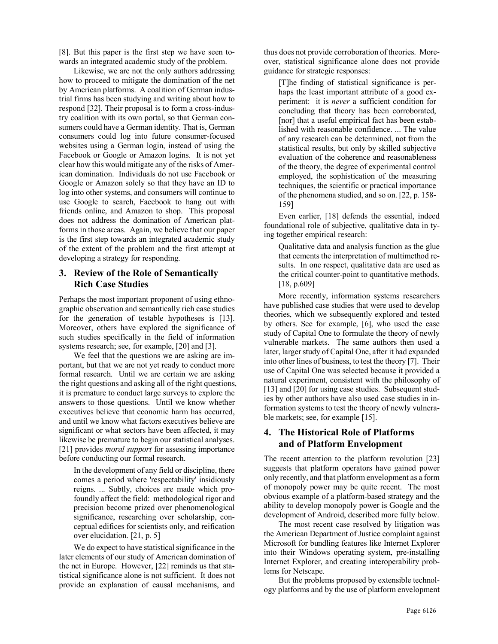[8]. But this paper is the first step we have seen towards an integrated academic study of the problem.

Likewise, we are not the only authors addressing how to proceed to mitigate the domination of the net by American platforms. A coalition of German industrial firms has been studying and writing about how to respond [32]. Their proposal is to form a cross-industry coalition with its own portal, so that German consumers could have a German identity. That is, German consumers could log into future consumer-focused websites using a German login, instead of using the Facebook or Google or Amazon logins. It is not yet clear how this would mitigate any of the risks of American domination. Individuals do not use Facebook or Google or Amazon solely so that they have an ID to log into other systems, and consumers will continue to use Google to search, Facebook to hang out with friends online, and Amazon to shop. This proposal does not address the domination of American platforms in those areas. Again, we believe that our paper is the first step towards an integrated academic study of the extent of the problem and the first attempt at developing a strategy for responding.

### **3. Review of the Role of Semantically Rich Case Studies**

Perhaps the most important proponent of using ethnographic observation and semantically rich case studies for the generation of testable hypotheses is [13]. Moreover, others have explored the significance of such studies specifically in the field of information systems research; see, for example, [20] and [3].

We feel that the questions we are asking are important, but that we are not yet ready to conduct more formal research. Until we are certain we are asking the right questions and asking all of the right questions, it is premature to conduct large surveys to explore the answers to those questions. Until we know whether executives believe that economic harm has occurred, and until we know what factors executives believe are significant or what sectors have been affected, it may likewise be premature to begin our statistical analyses. [21] provides *moral support* for assessing importance before conducting our formal research.

In the development of any field or discipline, there comes a period where 'respectability' insidiously reigns. ... Subtly, choices are made which profoundly affect the field: methodological rigor and precision become prized over phenomenological significance, researching over scholarship, conceptual edifices for scientists only, and reification over elucidation. [21, p. 5]

We do expect to have statistical significance in the later elements of our study of American domination of the net in Europe. However, [22] reminds us that statistical significance alone is not sufficient. It does not provide an explanation of causal mechanisms, and

thus does not provide corroboration of theories. Moreover, statistical significance alone does not provide guidance for strategic responses:

[T]he finding of statistical significance is perhaps the least important attribute of a good experiment: it is *never* a sufficient condition for concluding that theory has been corroborated, [nor] that a useful empirical fact has been established with reasonable confidence. ... The value of any research can be determined, not from the statistical results, but only by skilled subjective evaluation of the coherence and reasonableness of the theory, the degree of experimental control employed, the sophistication of the measuring techniques, the scientific or practical importance of the phenomena studied, and so on. [22, p. 158- 159]

Even earlier, [18] defends the essential, indeed foundational role of subjective, qualitative data in tying together empirical research:

Qualitative data and analysis function as the glue that cements the interpretation of multimethod results. In one respect, qualitative data are used as the critical counter-point to quantitative methods. [18, p.609]

More recently, information systems researchers have published case studies that were used to develop theories, which we subsequently explored and tested by others. See for example, [6], who used the case study of Capital One to formulate the theory of newly vulnerable markets. The same authors then used a later, larger study of Capital One, after it had expanded into other lines of business, to test the theory [7]. Their use of Capital One was selected because it provided a natural experiment, consistent with the philosophy of [13] and [20] for using case studies. Subsequent studies by other authors have also used case studies in information systems to test the theory of newly vulnerable markets; see, for example [15].

## **4. The Historical Role of Platforms and of Platform Envelopment**

The recent attention to the platform revolution [23] suggests that platform operators have gained power only recently, and that platform envelopment as a form of monopoly power may be quite recent. The most obvious example of a platform-based strategy and the ability to develop monopoly power is Google and the development of Android, described more fully below.

The most recent case resolved by litigation was the American Department of Justice complaint against Microsoft for bundling features like Internet Explorer into their Windows operating system, pre-installing Internet Explorer, and creating interoperability problems for Netscape.

But the problems proposed by extensible technology platforms and by the use of platform envelopment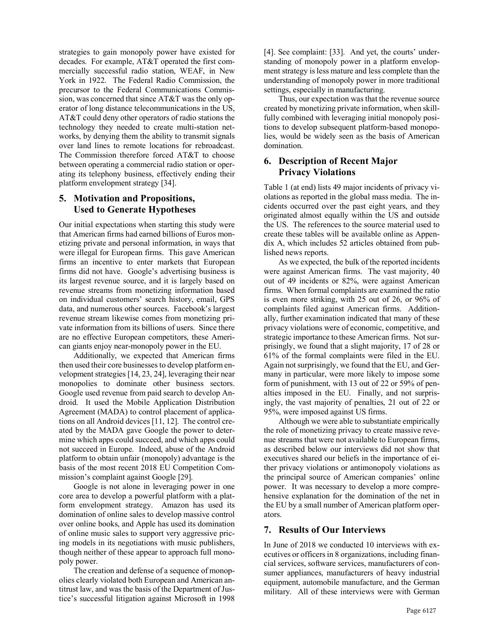strategies to gain monopoly power have existed for decades. For example, AT&T operated the first commercially successful radio station, WEAF, in New York in 1922. The Federal Radio Commission, the precursor to the Federal Communications Commission, was concerned that since AT&T was the only operator of long distance telecommunications in the US, AT&T could deny other operators of radio stations the technology they needed to create multi-station networks, by denying them the ability to transmit signals over land lines to remote locations for rebroadcast. The Commission therefore forced AT&T to choose between operating a commercial radio station or operating its telephony business, effectively ending their platform envelopment strategy [34].

## **5. Motivation and Propositions, Used to Generate Hypotheses**

Our initial expectations when starting this study were that American firms had earned billions of Euros monetizing private and personal information, in ways that were illegal for European firms. This gave American firms an incentive to enter markets that European firms did not have. Google's advertising business is its largest revenue source, and it is largely based on revenue streams from monetizing information based on individual customers' search history, email, GPS data, and numerous other sources. Facebook's largest revenue stream likewise comes from monetizing private information from its billions of users. Since there are no effective European competitors, these American giants enjoy near-monopoly power in the EU.

Additionally, we expected that American firms then used their core businesses to develop platform envelopment strategies [14, 23, 24], leveraging their near monopolies to dominate other business sectors. Google used revenue from paid search to develop Android. It used the Mobile Application Distribution Agreement (MADA) to control placement of applications on all Android devices [11, 12]. The control created by the MADA gave Google the power to determine which apps could succeed, and which apps could not succeed in Europe. Indeed, abuse of the Android platform to obtain unfair (monopoly) advantage is the basis of the most recent 2018 EU Competition Commission's complaint against Google [29].

Google is not alone in leveraging power in one core area to develop a powerful platform with a platform envelopment strategy. Amazon has used its domination of online sales to develop massive control over online books, and Apple has used its domination of online music sales to support very aggressive pricing models in its negotiations with music publishers, though neither of these appear to approach full monopoly power.

The creation and defense of a sequence of monopolies clearly violated both European and American antitrust law, and was the basis of the Department of Justice's successful litigation against Microsoft in 1998 [4]. See complaint: [33]. And yet, the courts' understanding of monopoly power in a platform envelopment strategy is less mature and less complete than the understanding of monopoly power in more traditional settings, especially in manufacturing.

Thus, our expectation was that the revenue source created by monetizing private information, when skillfully combined with leveraging initial monopoly positions to develop subsequent platform-based monopolies, would be widely seen as the basis of American domination.

## **6. Description of Recent Major Privacy Violations**

Table 1 (at end) lists 49 major incidents of privacy violations as reported in the global mass media. The incidents occurred over the past eight years, and they originated almost equally within the US and outside the US. The references to the source material used to create these tables will be available online as Appendix A, which includes 52 articles obtained from published news reports.

As we expected, the bulk of the reported incidents were against American firms. The vast majority, 40 out of 49 incidents or 82%, were against American firms. When formal complaints are examined the ratio is even more striking, with 25 out of 26, or 96% of complaints filed against American firms. Additionally, further examination indicated that many of these privacy violations were of economic, competitive, and strategic importance to these American firms. Not surprisingly, we found that a slight majority, 17 of 28 or 61% of the formal complaints were filed in the EU. Again not surprisingly, we found that the EU, and Germany in particular, were more likely to impose some form of punishment, with 13 out of 22 or 59% of penalties imposed in the EU. Finally, and not surprisingly, the vast majority of penalties, 21 out of 22 or 95%, were imposed against US firms.

Although we were able to substantiate empirically the role of monetizing privacy to create massive revenue streams that were not available to European firms, as described below our interviews did not show that executives shared our beliefs in the importance of either privacy violations or antimonopoly violations as the principal source of American companies' online power. It was necessary to develop a more comprehensive explanation for the domination of the net in the EU by a small number of American platform operators.

## **7. Results of Our Interviews**

In June of 2018 we conducted 10 interviews with executives or officers in 8 organizations, including financial services, software services, manufacturers of consumer appliances, manufacturers of heavy industrial equipment, automobile manufacture, and the German military. All of these interviews were with German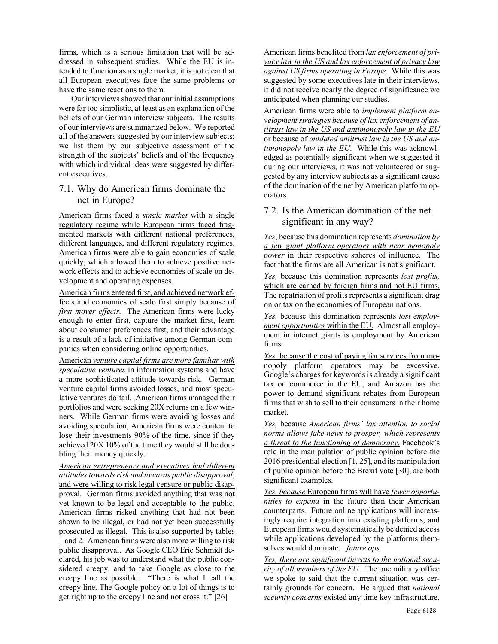firms, which is a serious limitation that will be addressed in subsequent studies. While the EU is intended to function as a single market, it is not clear that all European executives face the same problems or have the same reactions to them.

 Our interviews showed that our initial assumptions were far too simplistic, at least as an explanation of the beliefs of our German interview subjects. The results of our interviews are summarized below. We reported all of the answers suggested by our interview subjects; we list them by our subjective assessment of the strength of the subjects' beliefs and of the frequency with which individual ideas were suggested by different executives.

## 7.1. Why do American firms dominate the net in Europe?

American firms faced a *single market* with a single regulatory regime while European firms faced fragmented markets with different national preferences, different languages, and different regulatory regimes. American firms were able to gain economies of scale quickly, which allowed them to achieve positive network effects and to achieve economies of scale on development and operating expenses.

American firms entered first, and achieved network effects and economies of scale first simply because of *first mover effects*. The American firms were lucky enough to enter first, capture the market first, learn about consumer preferences first, and their advantage is a result of a lack of initiative among German companies when considering online opportunities.

American *venture capital firms are more familiar with speculative ventures* in information systems and have a more sophisticated attitude towards risk. German venture capital firms avoided losses, and most speculative ventures do fail. American firms managed their portfolios and were seeking 20X returns on a few winners. While German firms were avoiding losses and avoiding speculation, American firms were content to lose their investments 90% of the time, since if they achieved 20X 10% of the time they would still be doubling their money quickly.

*American entrepreneurs and executives had different attitudes towards risk and towards public disapproval*, and were willing to risk legal censure or public disapproval. German firms avoided anything that was not yet known to be legal and acceptable to the public. American firms risked anything that had not been shown to be illegal, or had not yet been successfully prosecuted as illegal. This is also supported by tables 1 and 2. American firms were also more willing to risk public disapproval. As Google CEO Eric Schmidt declared, his job was to understand what the public considered creepy, and to take Google as close to the creepy line as possible. "There is what I call the creepy line. The Google policy on a lot of things is to get right up to the creepy line and not cross it." [26]

American firms benefited from *lax enforcement of privacy law in the US and lax enforcement of privacy law against US firms operating in Europe.* While this was suggested by some executives late in their interviews, it did not receive nearly the degree of significance we anticipated when planning our studies.

American firms were able to *implement platform envelopment strategies because of lax enforcement of antitrust law in the US and antimonopoly law in the EU*  or because of *outdated antitrust law in the US and antimonopoly law in the EU*. While this was acknowledged as potentially significant when we suggested it during our interviews, it was not volunteered or suggested by any interview subjects as a significant cause of the domination of the net by American platform operators.

## 7.2. Is the American domination of the net significant in any way?

*Yes*, because this domination represents *domination by a few giant platform operators with near monopoly power* in their respective spheres of influence. The fact that the firms are all American is not significant.

*Yes,* because this domination represents *lost profits,*  which are earned by foreign firms and not EU firms. The repatriation of profits represents a significant drag on or tax on the economies of European nations.

*Yes,* because this domination represents *lost employment opportunities* within the EU. Almost all employment in internet giants is employment by American firms.

*Yes,* because the cost of paying for services from monopoly platform operators may be excessive. Google's charges for keywords is already a significant tax on commerce in the EU, and Amazon has the power to demand significant rebates from European firms that wish to sell to their consumers in their home market.

*Yes,* because *American firms' lax attention to social norms allows fake news to prosper, which represents a threat to the functioning of democracy*. Facebook's role in the manipulation of public opinion before the 2016 presidential election [1, 25], and its manipulation of public opinion before the Brexit vote [30], are both significant examples.

*Yes, because* European firms will have *fewer opportunities to expand* in the future than their American counterparts. Future online applications will increasingly require integration into existing platforms, and European firms would systematically be denied access while applications developed by the platforms themselves would dominate. *future ops*

*Yes, there are significant threats to the national security of all members of the EU.* The one military office we spoke to said that the current situation was certainly grounds for concern. He argued that *national security concerns* existed any time key infrastructure,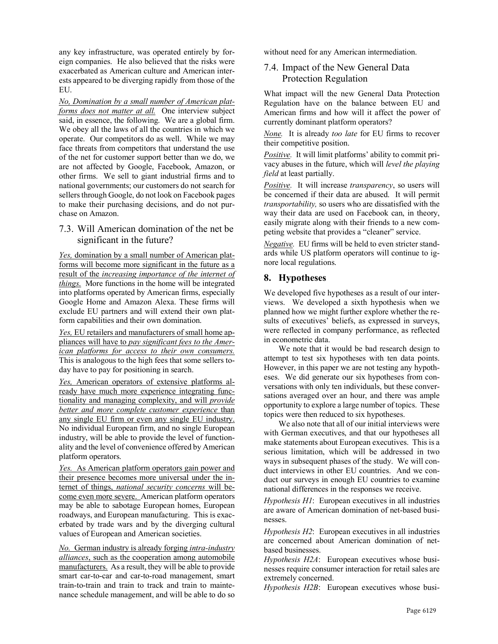any key infrastructure, was operated entirely by foreign companies. He also believed that the risks were exacerbated as American culture and American interests appeared to be diverging rapidly from those of the EU.

*No, Domination by a small number of American platforms does not matter at all.* One interview subject said, in essence, the following. We are a global firm. We obey all the laws of all the countries in which we operate. Our competitors do as well. While we may face threats from competitors that understand the use of the net for customer support better than we do, we are not affected by Google, Facebook, Amazon, or other firms. We sell to giant industrial firms and to national governments; our customers do not search for sellers through Google, do not look on Facebook pages to make their purchasing decisions, and do not purchase on Amazon.

## 7.3. Will American domination of the net be significant in the future?

*Yes,* domination by a small number of American platforms will become more significant in the future as a result of the *increasing importance of the internet of things*. More functions in the home will be integrated into platforms operated by American firms, especially Google Home and Amazon Alexa. These firms will exclude EU partners and will extend their own platform capabilities and their own domination.

*Yes,* EU retailers and manufacturers of small home appliances will have to *pay significant fees to the American platforms for access to their own consumers.* This is analogous to the high fees that some sellers today have to pay for positioning in search.

*Yes,* American operators of extensive platforms already have much more experience integrating functionality and managing complexity, and will *provide better and more complete customer experience* than any single EU firm or even any single EU industry. No individual European firm, and no single European industry, will be able to provide the level of functionality and the level of convenience offered by American platform operators.

*Yes.* As American platform operators gain power and their presence becomes more universal under the internet of things, *national security concerns* will become even more severe. American platform operators may be able to sabotage European homes, European roadways, and European manufacturing. This is exacerbated by trade wars and by the diverging cultural values of European and American societies.

*No.* German industry is already forging *intra-industry alliances*, such as the cooperation among automobile manufacturers. As a result, they will be able to provide smart car-to-car and car-to-road management, smart train-to-train and train to track and train to maintenance schedule management, and will be able to do so

without need for any American intermediation.

## 7.4. Impact of the New General Data Protection Regulation

What impact will the new General Data Protection Regulation have on the balance between EU and American firms and how will it affect the power of currently dominant platform operators?

*None.* It is already *too late* for EU firms to recover their competitive position.

*Positive.* It will limit platforms' ability to commit privacy abuses in the future, which will *level the playing field* at least partially.

*Positive.* It will increase *transparency*, so users will be concerned if their data are abused. It will permit *transportability,* so users who are dissatisfied with the way their data are used on Facebook can, in theory, easily migrate along with their friends to a new competing website that provides a "cleaner" service.

*Negative.* EU firms will be held to even stricter standards while US platform operators will continue to ignore local regulations.

## **8. Hypotheses**

We developed five hypotheses as a result of our interviews. We developed a sixth hypothesis when we planned how we might further explore whether the results of executives' beliefs, as expressed in surveys, were reflected in company performance, as reflected in econometric data.

We note that it would be bad research design to attempt to test six hypotheses with ten data points. However, in this paper we are not testing any hypotheses. We did generate our six hypotheses from conversations with only ten individuals, but these conversations averaged over an hour, and there was ample opportunity to explore a large number of topics. These topics were then reduced to six hypotheses.

We also note that all of our initial interviews were with German executives, and that our hypotheses all make statements about European executives. This is a serious limitation, which will be addressed in two ways in subsequent phases of the study. We will conduct interviews in other EU countries. And we conduct our surveys in enough EU countries to examine national differences in the responses we receive.

*Hypothesis H1*: European executives in all industries are aware of American domination of net-based businesses.

*Hypothesis H2*: European executives in all industries are concerned about American domination of netbased businesses.

*Hypothesis H2A*: European executives whose businesses require consumer interaction for retail sales are extremely concerned.

*Hypothesis H2B*: European executives whose busi-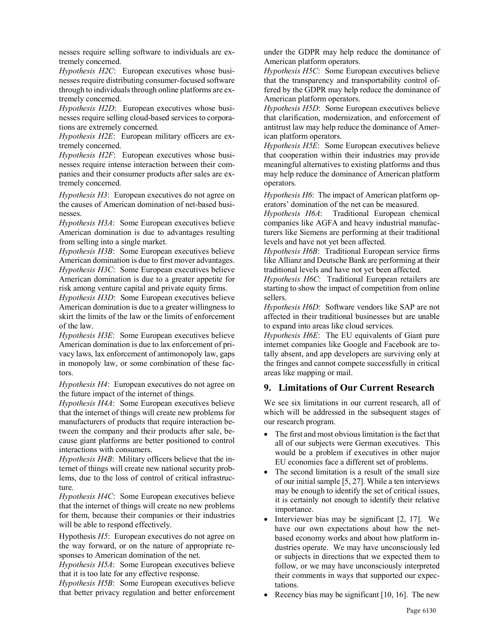nesses require selling software to individuals are extremely concerned.

*Hypothesis H2C*: European executives whose businesses require distributing consumer-focused software through to individuals through online platforms are extremely concerned.

*Hypothesis H2D*: European executives whose businesses require selling cloud-based services to corporations are extremely concerned.

*Hypothesis H2E*: European military officers are extremely concerned.

*Hypothesis H2F*: European executives whose businesses require intense interaction between their companies and their consumer products after sales are extremely concerned.

*Hypothesis H3*: European executives do not agree on the causes of American domination of net-based businesses.

*Hypothesis H3A*: Some European executives believe American domination is due to advantages resulting from selling into a single market.

*Hypothesis H3B*: Some European executives believe American domination is due to first mover advantages. *Hypothesis H3C*: Some European executives believe American domination is due to a greater appetite for risk among venture capital and private equity firms.

*Hypothesis H3D*: Some European executives believe American domination is due to a greater willingness to skirt the limits of the law or the limits of enforcement of the law.

*Hypothesis H3E*: Some European executives believe American domination is due to lax enforcement of privacy laws, lax enforcement of antimonopoly law, gaps in monopoly law, or some combination of these factors.

*Hypothesis H4*: European executives do not agree on the future impact of the internet of things.

*Hypothesis H4A*: Some European executives believe that the internet of things will create new problems for manufacturers of products that require interaction between the company and their products after sale, because giant platforms are better positioned to control interactions with consumers.

*Hypothesis H4B*: Military officers believe that the internet of things will create new national security problems, due to the loss of control of critical infrastructure.

*Hypothesis H4C*: Some European executives believe that the internet of things will create no new problems for them, because their companies or their industries will be able to respond effectively.

Hypothesis *H5*: European executives do not agree on the way forward, or on the nature of appropriate responses to American domination of the net.

*Hypothesis H5A*: Some European executives believe that it is too late for any effective response.

*Hypothesis H5B*: Some European executives believe that better privacy regulation and better enforcement under the GDPR may help reduce the dominance of American platform operators.

*Hypothesis H5C*: Some European executives believe that the transparency and transportability control offered by the GDPR may help reduce the dominance of American platform operators.

*Hypothesis H5D*: Some European executives believe that clarification, modernization, and enforcement of antitrust law may help reduce the dominance of American platform operators.

*Hypothesis H5E*: Some European executives believe that cooperation within their industries may provide meaningful alternatives to existing platforms and thus may help reduce the dominance of American platform operators.

*Hypothesis H6*: The impact of American platform operators' domination of the net can be measured.

*Hypothesis H6A*: Traditional European chemical companies like AGFA and heavy industrial manufacturers like Siemens are performing at their traditional levels and have not yet been affected.

*Hypothesis H6B*: Traditional European service firms like Allianz and Deutsche Bank are performing at their traditional levels and have not yet been affected.

*Hypothesis H6C*: Traditional European retailers are starting to show the impact of competition from online sellers.

*Hypothesis H6D*: Software vendors like SAP are not affected in their traditional businesses but are unable to expand into areas like cloud services.

*Hypothesis H6E*: The EU equivalents of Giant pure internet companies like Google and Facebook are totally absent, and app developers are surviving only at the fringes and cannot compete successfully in critical areas like mapping or mail.

#### **9. Limitations of Our Current Research**

We see six limitations in our current research, all of which will be addressed in the subsequent stages of our research program.

- The first and most obvious limitation is the fact that all of our subjects were German executives. This would be a problem if executives in other major EU economies face a different set of problems.
- The second limitation is a result of the small size of our initial sample [5, 27]. While a ten interviews may be enough to identify the set of critical issues, it is certainly not enough to identify their relative importance.
- Interviewer bias may be significant [2, 17]. We have our own expectations about how the netbased economy works and about how platform industries operate. We may have unconsciously led or subjects in directions that we expected them to follow, or we may have unconsciously interpreted their comments in ways that supported our expectations.
- Recency bias may be significant [10, 16]. The new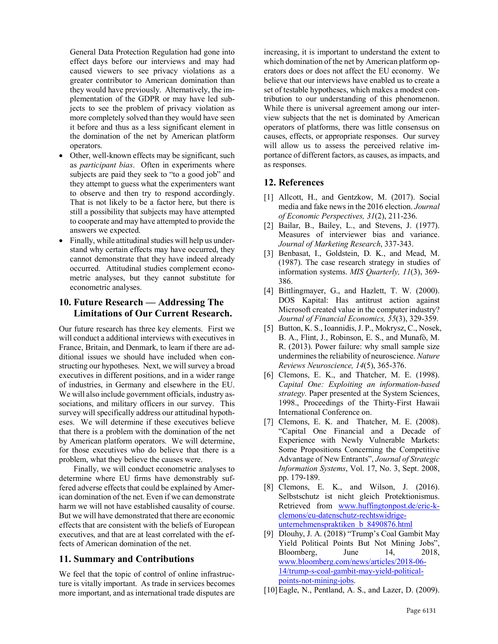General Data Protection Regulation had gone into effect days before our interviews and may had caused viewers to see privacy violations as a greater contributor to American domination than they would have previously. Alternatively, the implementation of the GDPR or may have led subjects to see the problem of privacy violation as more completely solved than they would have seen it before and thus as a less significant element in the domination of the net by American platform operators.

- Other, well-known effects may be significant, such as *participant bias*. Often in experiments where subjects are paid they seek to "to a good job" and they attempt to guess what the experimenters want to observe and then try to respond accordingly. That is not likely to be a factor here, but there is still a possibility that subjects may have attempted to cooperate and may have attempted to provide the answers we expected.
- Finally, while attitudinal studies will help us understand why certain effects may have occurred, they cannot demonstrate that they have indeed already occurred. Attitudinal studies complement econometric analyses, but they cannot substitute for econometric analyses.

## **10. Future Research — Addressing The Limitations of Our Current Research.**

Our future research has three key elements. First we will conduct a additional interviews with executives in France, Britain, and Denmark, to learn if there are additional issues we should have included when constructing our hypotheses. Next, we will survey a broad executives in different positions, and in a wider range of industries, in Germany and elsewhere in the EU. We will also include government officials, industry associations, and military officers in our survey. This survey will specifically address our attitudinal hypotheses. We will determine if these executives believe that there is a problem with the domination of the net by American platform operators. We will determine, for those executives who do believe that there is a problem, what they believe the causes were.

Finally, we will conduct econometric analyses to determine where EU firms have demonstrably suffered adverse effects that could be explained by American domination of the net. Even if we can demonstrate harm we will not have established causality of course. But we will have demonstrated that there are economic effects that are consistent with the beliefs of European executives, and that are at least correlated with the effects of American domination of the net.

## **11. Summary and Contributions**

We feel that the topic of control of online infrastructure is vitally important. As trade in services becomes more important, and as international trade disputes are increasing, it is important to understand the extent to which domination of the net by American platform operators does or does not affect the EU economy. We believe that our interviews have enabled us to create a set of testable hypotheses, which makes a modest contribution to our understanding of this phenomenon. While there is universal agreement among our interview subjects that the net is dominated by American operators of platforms, there was little consensus on causes, effects, or appropriate responses. Our survey will allow us to assess the perceived relative importance of different factors, as causes, as impacts, and as responses.

#### **12. References**

- [1] Allcott, H., and Gentzkow, M. (2017). Social media and fake news in the 2016 election. *Journal of Economic Perspectives, 31*(2), 211-236.
- [2] Bailar, B., Bailey, L., and Stevens, J. (1977). Measures of interviewer bias and variance. *Journal of Marketing Research*, 337-343.
- [3] Benbasat, I., Goldstein, D. K., and Mead, M. (1987). The case research strategy in studies of information systems. *MIS Quarterly, 11*(3), 369- 386.
- [4] Bittlingmayer, G., and Hazlett, T. W. (2000). DOS Kapital: Has antitrust action against Microsoft created value in the computer industry? *Journal of Financial Economics, 55*(3), 329-359.
- [5] Button, K. S., Ioannidis, J. P., Mokrysz, C., Nosek, B. A., Flint, J., Robinson, E. S., and Munafò, M. R. (2013). Power failure: why small sample size undermines the reliability of neuroscience. *Nature Reviews Neuroscience, 14*(5), 365-376.
- [6] Clemons, E. K., and Thatcher, M. E. (1998). *Capital One: Exploiting an information-based strategy.* Paper presented at the System Sciences, 1998., Proceedings of the Thirty-First Hawaii International Conference on.
- [7] Clemons, E. K. and Thatcher, M. E. (2008). "Capital One Financial and a Decade of Experience with Newly Vulnerable Markets: Some Propositions Concerning the Competitive Advantage of New Entrants", *Journal of Strategic Information Systems*, Vol. 17, No. 3, Sept. 2008, pp. 179-189.
- [8] Clemons, E. K., and Wilson, J. (2016). Selbstschutz ist nicht gleich Protektionismus. Retrieved from www.huffingtonpost.de/eric-kclemons/eu-datenschutz-rechtswidrigeunternehmenspraktiken\_b\_8490876.html
- [9] Dlouhy, J. A. (2018) "Trump's Coal Gambit May Yield Political Points But Not Mining Jobs", Bloomberg, June 14, 2018, www.bloomberg.com/news/articles/2018-06- 14/trump-s-coal-gambit-may-yield-politicalpoints-not-mining-jobs.
- [10]Eagle, N., Pentland, A. S., and Lazer, D. (2009).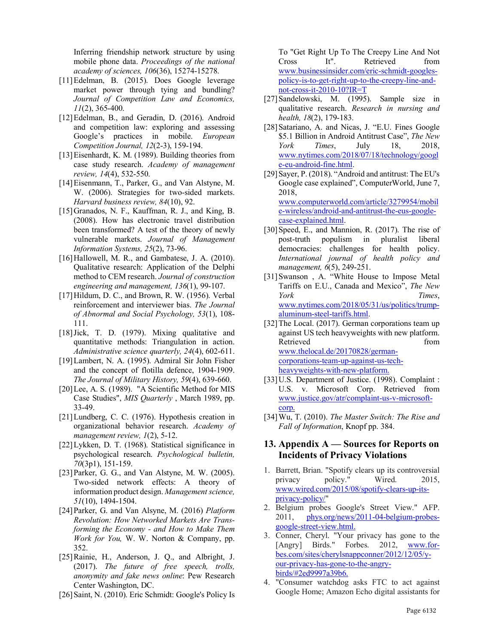Inferring friendship network structure by using mobile phone data. *Proceedings of the national academy of sciences, 106*(36), 15274-15278.

- [11]Edelman, B. (2015). Does Google leverage market power through tying and bundling? *Journal of Competition Law and Economics, 11*(2), 365-400.
- [12]Edelman, B., and Geradin, D. (2016). Android and competition law: exploring and assessing Google's practices in mobile. *European Competition Journal, 12*(2-3), 159-194.
- [13]Eisenhardt, K. M. (1989). Building theories from case study research. *Academy of management review, 14*(4), 532-550.
- [14]Eisenmann, T., Parker, G., and Van Alstyne, M. W. (2006). Strategies for two-sided markets. *Harvard business review, 84*(10), 92.
- [15]Granados, N. F., Kauffman, R. J., and King, B. (2008). How has electronic travel distribution been transformed? A test of the theory of newly vulnerable markets. *Journal of Management Information Systems, 25*(2), 73-96.
- [16] Hallowell, M. R., and Gambatese, J. A. (2010). Qualitative research: Application of the Delphi method to CEM research. *Journal of construction engineering and management, 136*(1), 99-107.
- [17] Hildum, D. C., and Brown, R. W. (1956). Verbal reinforcement and interviewer bias. *The Journal of Abnormal and Social Psychology, 53*(1), 108- 111.
- [18]Jick, T. D. (1979). Mixing qualitative and quantitative methods: Triangulation in action. *Administrative science quarterly, 24*(4), 602-611.
- [19]Lambert, N. A. (1995). Admiral Sir John Fisher and the concept of flotilla defence, 1904-1909. *The Journal of Military History, 59*(4), 639-660.
- [20]Lee, A. S. (1989). "A Scientific Method for MIS Case Studies", *MIS Quarterly* , March 1989, pp. 33-49.
- [21]Lundberg, C. C. (1976). Hypothesis creation in organizational behavior research. *Academy of management review, 1*(2), 5-12.
- [22]Lykken, D. T. (1968). Statistical significance in psychological research. *Psychological bulletin, 70*(3p1), 151-159.
- [23] Parker, G. G., and Van Alstyne, M. W. (2005). Two-sided network effects: A theory of information product design. *Management science, 51*(10), 1494-1504.
- [24]Parker, G. and Van Alsyne, M. (2016) *Platform Revolution: How Networked Markets Are Transforming the Economy - and How to Make Them Work for You,* W. W. Norton & Company, pp. 352.
- [25]Rainie, H., Anderson, J. Q., and Albright, J. (2017). *The future of free speech, trolls, anonymity and fake news online*: Pew Research Center Washington, DC.
- [26] Saint, N. (2010). Eric Schmidt: Google's Policy Is

To "Get Right Up To The Creepy Line And Not Cross It". Retrieved from www.businessinsider.com/eric-schmidt-googlespolicy-is-to-get-right-up-to-the-creepy-line-andnot-cross-it-2010-10?IR=T

- [27]Sandelowski, M. (1995). Sample size in qualitative research. *Research in nursing and health, 18*(2), 179-183.
- [28]Satariano, A. and Nicas, J. "E.U. Fines Google \$5.1 Billion in Android Antitrust Case", *The New York Times*, July 18, 2018, www.nytimes.com/2018/07/18/technology/googl e-eu-android-fine.html.
- [29]Sayer, P. (2018). "Android and antitrust: The EU's Google case explained", ComputerWorld, June 7, 2018, www.computerworld.com/article/3279954/mobil e-wireless/android-and-antitrust-the-eus-googlecase-explained.html.
- [30]Speed, E., and Mannion, R. (2017). The rise of post-truth populism in pluralist liberal democracies: challenges for health policy. *International journal of health policy and management, 6*(5), 249-251.
- [31]Swanson , A. "White House to Impose Metal Tariffs on E.U., Canada and Mexico", *The New York Times*, www.nytimes.com/2018/05/31/us/politics/trumpaluminum-steel-tariffs.html.
- [32] The Local. (2017). German corporations team up against US tech heavyweights with new platform. Retrieved from the from the set of the set of the set of the set of the set of the set of the set of the set of the set of the set of the set of the set of the set of the set of the set of the set of the set of the set of www.thelocal.de/20170828/germancorporations-team-up-against-us-techheavyweights-with-new-platform.
- [33] U.S. Department of Justice. (1998). Complaint : U.S. v. Microsoft Corp. Retrieved from www.justice.gov/atr/complaint-us-v-microsoftcorp.
- [34]Wu, T. (2010). *The Master Switch: The Rise and Fall of Information*, Knopf pp. 384.

#### **13. Appendix A — Sources for Reports on Incidents of Privacy Violations**

- 1. Barrett, Brian. "Spotify clears up its controversial privacy policy." Wired. 2015, www.wired.com/2015/08/spotify-clears-up-itsprivacy-policy/"
- 2. Belgium probes Google's Street View." AFP. 2011, phys.org/news/2011-04-belgium-probesgoogle-street-view.html.
- 3. Conner, Cheryl. "Your privacy has gone to the [Angry] Birds." Forbes. 2012, www.forbes.com/sites/cherylsnappconner/2012/12/05/your-privacy-has-gone-to-the-angrybirds/#2ed9997a39b6.
- 4. "Consumer watchdog asks FTC to act against Google Home; Amazon Echo digital assistants for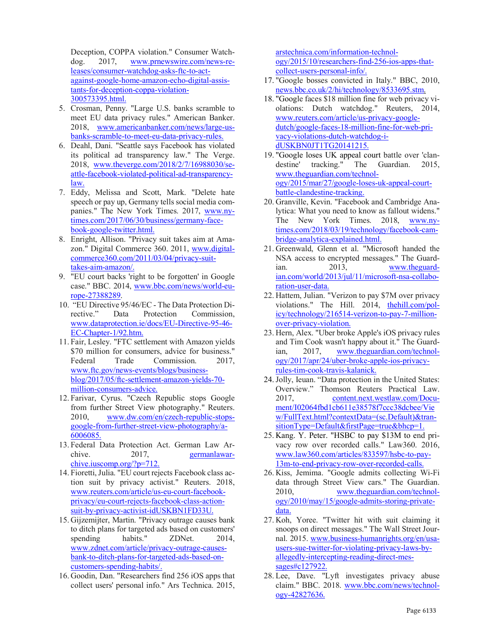Deception, COPPA violation." Consumer Watchdog. 2017, www.prnewswire.com/news-releases/consumer-watchdog-asks-ftc-to-actagainst-google-home-amazon-echo-digital-assistants-for-deception-coppa-violation-300573395.html.

- 5. Crosman, Penny. "Large U.S. banks scramble to meet EU data privacy rules." American Banker. 2018, www.americanbanker.com/news/large-usbanks-scramble-to-meet-eu-data-privacy-rules.
- 6. Deahl, Dani. "Seattle says Facebook has violated its political ad transparency law." The Verge. 2018, www.theverge.com/2018/2/7/16988030/seattle-facebook-violated-political-ad-transparencylaw.
- 7. Eddy, Melissa and Scott, Mark. "Delete hate speech or pay up, Germany tells social media companies." The New York Times. 2017, www.nytimes.com/2017/06/30/business/germany-facebook-google-twitter.html.
- 8. Enright, Allison. "Privacy suit takes aim at Amazon." Digital Commerce 360. 2011, www.digitalcommerce360.com/2011/03/04/privacy-suittakes-aim-amazon/.
- 9. "EU court backs 'right to be forgotten' in Google case." BBC. 2014, www.bbc.com/news/world-europe-27388289.
- 10. "EU Directive 95/46/EC The Data Protection Directive." Data Protection Commission, www.dataprotection.ie/docs/EU-Directive-95-46- EC-Chapter-1/92.htm.
- 11. Fair, Lesley. "FTC settlement with Amazon yields \$70 million for consumers, advice for business." Federal Trade Commission. 2017. www.ftc.gov/news-events/blogs/businessblog/2017/05/ftc-settlement-amazon-yields-70 million-consumers-advice.
- 12. Farivar, Cyrus. "Czech Republic stops Google from further Street View photography." Reuters. 2010, www.dw.com/en/czech-republic-stopsgoogle-from-further-street-view-photography/a-6006085.
- 13. Federal Data Protection Act. German Law Archive. 2017, germaniawarchive.iuscomp.org/?p=712.
- 14. Fioretti, Julia. "EU court rejects Facebook class action suit by privacy activist." Reuters. 2018, www.reuters.com/article/us-eu-court-facebookprivacy/eu-court-rejects-facebook-class-actionsuit-by-privacy-activist-idUSKBN1FD33U.
- 15. Gijzemijter, Martin. "Privacy outrage causes bank to ditch plans for targeted ads based on customers' spending habits." ZDNet. 2014. www.zdnet.com/article/privacy-outrage-causesbank-to-ditch-plans-for-targeted-ads-based-oncustomers-spending-habits/.
- 16. Goodin, Dan. "Researchers find 256 iOS apps that collect users' personal info." Ars Technica. 2015,

arstechnica.com/information-technology/2015/10/researchers-find-256-ios-apps-thatcollect-users-personal-info/.

- 17. "Google bosses convicted in Italy." BBC, 2010, news.bbc.co.uk/2/hi/technology/8533695.stm.
- 18. "Google faces \$18 million fine for web privacy violations: Dutch watchdog." Reuters, 2014, www.reuters.com/article/us-privacy-googledutch/google-faces-18-million-fine-for-web-privacy-violations-dutch-watchdog-idUSKBN0JT1TG20141215.
- 19. "Google loses UK appeal court battle over 'clandestine' tracking." The Guardian. 2015, www.theguardian.com/technology/2015/mar/27/google-loses-uk-appeal-courtbattle-clandestine-tracking.
- 20. Granville, Kevin. "Facebook and Cambridge Analytica: What you need to know as fallout widens." The New York Times. 2018, www.nytimes.com/2018/03/19/technology/facebook-cambridge-analytica-explained.html.
- 21. Greenwald, Glenn et al. "Microsoft handed the NSA access to encrypted messages." The Guardian. 2013, www.theguardian.com/world/2013/jul/11/microsoft-nsa-collaboration-user-data.
- 22. Hattem, Julian. "Verizon to pay \$7M over privacy violations." The Hill. 2014, thehill.com/policy/technology/216514-verizon-to-pay-7-millionover-privacy-violation.
- 23. Hern, Alex. "Uber broke Apple's iOS privacy rules and Tim Cook wasn't happy about it." The Guardian, 2017, www.theguardian.com/technology/2017/apr/24/uber-broke-apple-ios-privacyrules-tim-cook-travis-kalanick.
- 24.Jolly, Ieuan. "Data protection in the United States: Overview." Thomson Reuters Practical Law. 2017, content.next.westlaw.com/Document/I02064fbd1cb611e38578f7ccc38dcbee/Vie w/FullText.html?contextData=(sc.Default)&transitionType=Default&firstPage=true&bhcp=1.
- 25. Kang. Y. Peter. "HSBC to pay \$13M to end privacy row over recorded calls." Law360. 2016, www.law360.com/articles/833597/hsbc-to-pay-13m-to-end-privacy-row-over-recorded-calls.
- 26. Kiss, Jemima. "Google admits collecting Wi-Fi data through Street View cars." The Guardian. 2010, www.theguardian.com/technology/2010/may/15/google-admits-storing-privatedata.
- 27. Koh, Yoree. "Twitter hit with suit claiming it snoops on direct messages." The Wall Street Journal. 2015. www.business-humanrights.org/en/usausers-sue-twitter-for-violating-privacy-laws-byallegedly-intercepting-reading-direct-messages#c127922.
- 28. Lee, Dave. "Lyft investigates privacy abuse claim." BBC. 2018. www.bbc.com/news/technology-42827636.